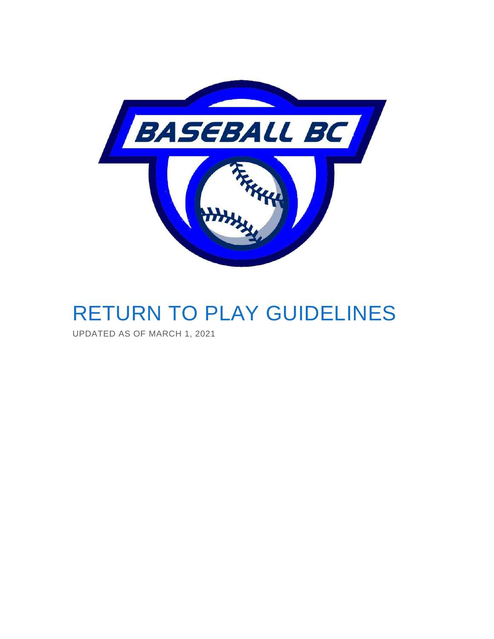

# RETURN TO PLAY GUIDELINES

UPDATED AS OF MARCH 1, 2021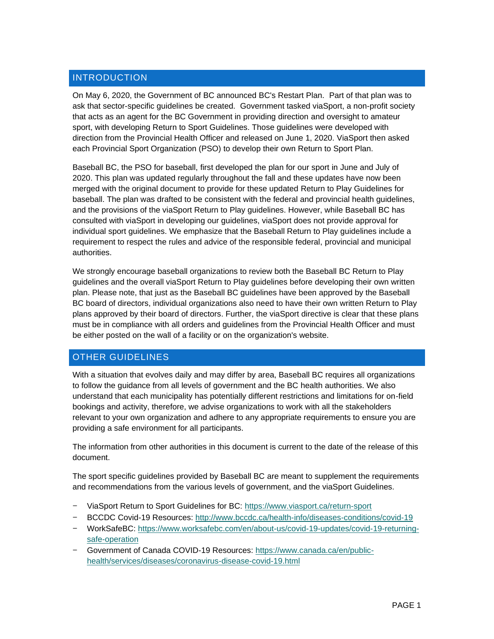# **INTRODUCTION**

On May 6, 2020, the Government of BC announced BC's Restart Plan. Part of that plan was to ask that sector-specific guidelines be created. Government tasked viaSport, a non-profit society that acts as an agent for the BC Government in providing direction and oversight to amateur sport, with developing Return to Sport Guidelines. Those guidelines were developed with direction from the Provincial Health Officer and released on June 1, 2020. ViaSport then asked each Provincial Sport Organization (PSO) to develop their own Return to Sport Plan.

Baseball BC, the PSO for baseball, first developed the plan for our sport in June and July of 2020. This plan was updated regularly throughout the fall and these updates have now been merged with the original document to provide for these updated Return to Play Guidelines for baseball. The plan was drafted to be consistent with the federal and provincial health guidelines, and the provisions of the viaSport Return to Play guidelines. However, while Baseball BC has consulted with viaSport in developing our guidelines, viaSport does not provide approval for individual sport guidelines. We emphasize that the Baseball Return to Play guidelines include a requirement to respect the rules and advice of the responsible federal, provincial and municipal authorities.

We strongly encourage baseball organizations to review both the Baseball BC Return to Play guidelines and the overall viaSport Return to Play guidelines before developing their own written plan. Please note, that just as the Baseball BC guidelines have been approved by the Baseball BC board of directors, individual organizations also need to have their own written Return to Play plans approved by their board of directors. Further, the viaSport directive is clear that these plans must be in compliance with all orders and guidelines from the Provincial Health Officer and must be either posted on the wall of a facility or on the organization's website.

# OTHER GUIDELINES

With a situation that evolves daily and may differ by area, Baseball BC requires all organizations to follow the guidance from all levels of government and the BC health authorities. We also understand that each municipality has potentially different restrictions and limitations for on-field bookings and activity, therefore, we advise organizations to work with all the stakeholders relevant to your own organization and adhere to any appropriate requirements to ensure you are providing a safe environment for all participants.

The information from other authorities in this document is current to the date of the release of this document.

The sport specific guidelines provided by Baseball BC are meant to supplement the requirements and recommendations from the various levels of government, and the viaSport Guidelines.

- − ViaSport Return to Sport Guidelines for BC: <https://www.viasport.ca/return-sport>
- − BCCDC Covid-19 Resources:<http://www.bccdc.ca/health-info/diseases-conditions/covid-19>
- − WorkSafeBC: [https://www.worksafebc.com/en/about-us/covid-19-updates/covid-19-returning](https://www.worksafebc.com/en/about-us/covid-19-updates/covid-19-returning-safe-operation)[safe-operation](https://www.worksafebc.com/en/about-us/covid-19-updates/covid-19-returning-safe-operation)
- − Government of Canada COVID-19 Resources: [https://www.canada.ca/en/public](https://www.canada.ca/en/public-health/services/diseases/coronavirus-disease-covid-19.html)[health/services/diseases/coronavirus-disease-covid-19.html](https://www.canada.ca/en/public-health/services/diseases/coronavirus-disease-covid-19.html)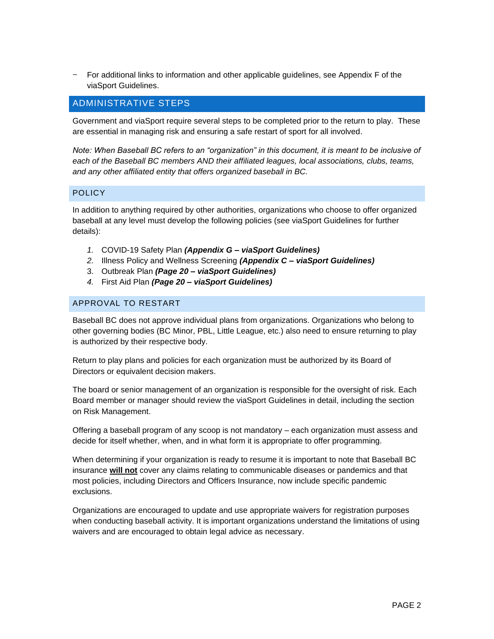− For additional links to information and other applicable guidelines, see Appendix F of the viaSport Guidelines.

## ADMINISTRATIVE STEPS

Government and viaSport require several steps to be completed prior to the return to play. These are essential in managing risk and ensuring a safe restart of sport for all involved.

*Note: When Baseball BC refers to an "organization" in this document, it is meant to be inclusive of each of the Baseball BC members AND their affiliated leagues, local associations, clubs, teams, and any other affiliated entity that offers organized baseball in BC.* 

#### **POLICY**

In addition to anything required by other authorities, organizations who choose to offer organized baseball at any level must develop the following policies (see viaSport Guidelines for further details):

- *1.* COVID-19 Safety Plan *(Appendix G – viaSport Guidelines)*
- *2.* Illness Policy and Wellness Screening *(Appendix C – viaSport Guidelines)*
- 3. Outbreak Plan *(Page 20 – viaSport Guidelines)*
- *4.* First Aid Plan *(Page 20 – viaSport Guidelines)*

#### APPROVAL TO RESTART

Baseball BC does not approve individual plans from organizations. Organizations who belong to other governing bodies (BC Minor, PBL, Little League, etc.) also need to ensure returning to play is authorized by their respective body.

Return to play plans and policies for each organization must be authorized by its Board of Directors or equivalent decision makers.

The board or senior management of an organization is responsible for the oversight of risk. Each Board member or manager should review the viaSport Guidelines in detail, including the section on Risk Management.

Offering a baseball program of any scoop is not mandatory – each organization must assess and decide for itself whether, when, and in what form it is appropriate to offer programming.

When determining if your organization is ready to resume it is important to note that Baseball BC insurance **will not** cover any claims relating to communicable diseases or pandemics and that most policies, including Directors and Officers Insurance, now include specific pandemic exclusions.

Organizations are encouraged to update and use appropriate waivers for registration purposes when conducting baseball activity. It is important organizations understand the limitations of using waivers and are encouraged to obtain legal advice as necessary.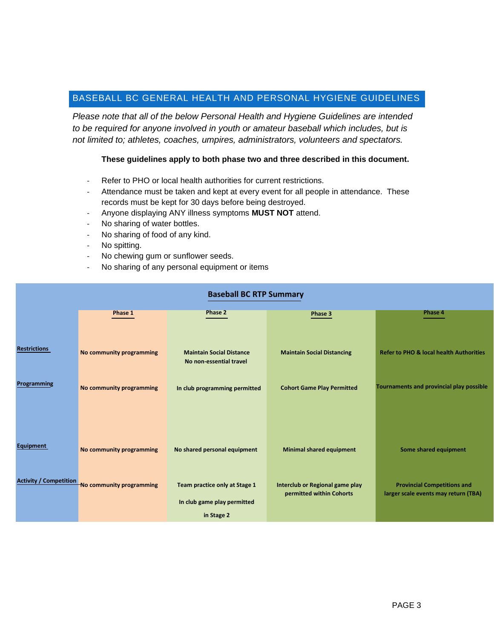# BASEBALL BC GENERAL HEALTH AND PERSONAL HYGIENE GUIDELINES

*Please note that all of the below Personal Health and Hygiene Guidelines are intended to be required for anyone involved in youth or amateur baseball which includes, but is not limited to; athletes, coaches, umpires, administrators, volunteers and spectators.*

#### **These guidelines apply to both phase two and three described in this document.**

- Refer to PHO or local health authorities for current restrictions.
- Attendance must be taken and kept at every event for all people in attendance. These records must be kept for 30 days before being destroyed.
- Anyone displaying ANY illness symptoms **MUST NOT** attend.
- No sharing of water bottles.
- No sharing of food of any kind.
- No spitting.
- No chewing gum or sunflower seeds.
- No sharing of any personal equipment or items

# **Baseball BC RTP Summary Baseball BC RTP Summary**

|                               | Phase 1                  | <b>Phase 2</b>                                             | Phase 3                                                     | Phase 4                                                                    |
|-------------------------------|--------------------------|------------------------------------------------------------|-------------------------------------------------------------|----------------------------------------------------------------------------|
|                               |                          |                                                            |                                                             |                                                                            |
| <b>Restrictions</b>           | No community programming | <b>Maintain Social Distance</b><br>No non-essential travel | <b>Maintain Social Distancing</b>                           | <b>Refer to PHO &amp; local health Authorities</b>                         |
| Programming                   | No community programming | In club programming permitted                              | <b>Cohort Game Play Permitted</b>                           | Tournaments and provincial play possible                                   |
|                               |                          |                                                            |                                                             |                                                                            |
| Equipment                     | No community programming | No shared personal equipment                               | <b>Minimal shared equipment</b>                             | Some shared equipment                                                      |
| <b>Activity / Competition</b> | No community programming | Team practice only at Stage 1                              | Interclub or Regional game play<br>permitted within Cohorts | <b>Provincial Competitions and</b><br>larger scale events may return (TBA) |
|                               |                          | In club game play permitted                                |                                                             |                                                                            |
|                               |                          | in Stage 2                                                 |                                                             |                                                                            |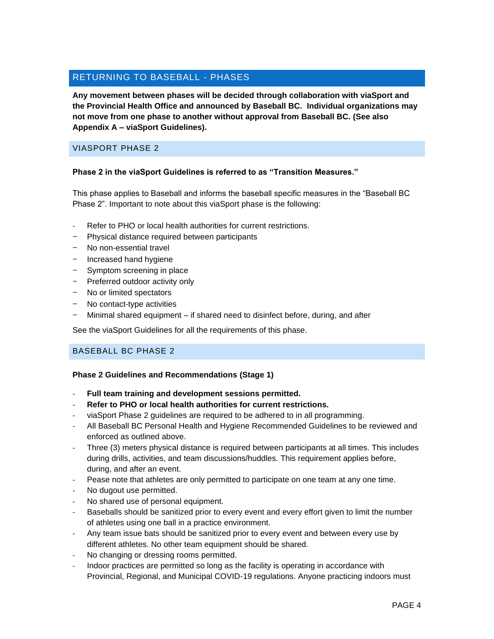# RETURNING TO BASEBALL - PHASES

**Any movement between phases will be decided through collaboration with viaSport and the Provincial Health Office and announced by Baseball BC. Individual organizations may not move from one phase to another without approval from Baseball BC. (See also Appendix A – viaSport Guidelines).**

## VIASPORT PHASE 2

#### **Phase 2 in the viaSport Guidelines is referred to as "Transition Measures."**

This phase applies to Baseball and informs the baseball specific measures in the "Baseball BC Phase 2". Important to note about this viaSport phase is the following:

- Refer to PHO or local health authorities for current restrictions.
- − Physical distance required between participants
- − No non-essential travel
- − Increased hand hygiene
- − Symptom screening in place
- − Preferred outdoor activity only
- − No or limited spectators
- − No contact-type activities
- − Minimal shared equipment if shared need to disinfect before, during, and after

See the viaSport Guidelines for all the requirements of this phase.

#### BASEBALL BC PHASE 2

#### **Phase 2 Guidelines and Recommendations (Stage 1)**

- **Full team training and development sessions permitted.**
- **Refer to PHO or local health authorities for current restrictions.**
- viaSport Phase 2 guidelines are required to be adhered to in all programming.
- All Baseball BC Personal Health and Hygiene Recommended Guidelines to be reviewed and enforced as outlined above.
- Three (3) meters physical distance is required between participants at all times. This includes during drills, activities, and team discussions/huddles. This requirement applies before, during, and after an event.
- Pease note that athletes are only permitted to participate on one team at any one time.
- No dugout use permitted.
- No shared use of personal equipment.
- Baseballs should be sanitized prior to every event and every effort given to limit the number of athletes using one ball in a practice environment.
- Any team issue bats should be sanitized prior to every event and between every use by different athletes. No other team equipment should be shared.
- No changing or dressing rooms permitted.
- Indoor practices are permitted so long as the facility is operating in accordance with Provincial, Regional, and Municipal COVID-19 regulations. Anyone practicing indoors must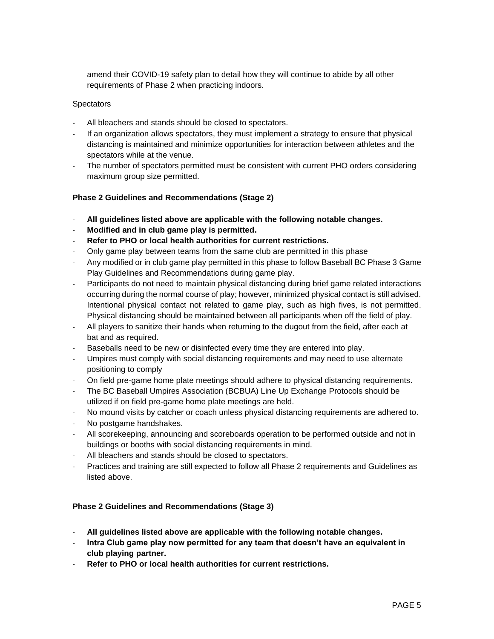amend their COVID-19 safety plan to detail how they will continue to abide by all other requirements of Phase 2 when practicing indoors.

#### **Spectators**

- All bleachers and stands should be closed to spectators.
- If an organization allows spectators, they must implement a strategy to ensure that physical distancing is maintained and minimize opportunities for interaction between athletes and the spectators while at the venue.
- The number of spectators permitted must be consistent with current PHO orders considering maximum group size permitted.

#### **Phase 2 Guidelines and Recommendations (Stage 2)**

- **All guidelines listed above are applicable with the following notable changes.**
- **Modified and in club game play is permitted.**
- **Refer to PHO or local health authorities for current restrictions.**
- Only game play between teams from the same club are permitted in this phase
- Any modified or in club game play permitted in this phase to follow Baseball BC Phase 3 Game Play Guidelines and Recommendations during game play.
- Participants do not need to maintain physical distancing during brief game related interactions occurring during the normal course of play; however, minimized physical contact is still advised. Intentional physical contact not related to game play, such as high fives, is not permitted. Physical distancing should be maintained between all participants when off the field of play.
- All players to sanitize their hands when returning to the dugout from the field, after each at bat and as required.
- Baseballs need to be new or disinfected every time they are entered into play.
- Umpires must comply with social distancing requirements and may need to use alternate positioning to comply
- On field pre-game home plate meetings should adhere to physical distancing requirements.
- The BC Baseball Umpires Association (BCBUA) Line Up Exchange Protocols should be utilized if on field pre-game home plate meetings are held.
- No mound visits by catcher or coach unless physical distancing requirements are adhered to.
- No postgame handshakes.
- All scorekeeping, announcing and scoreboards operation to be performed outside and not in buildings or booths with social distancing requirements in mind.
- All bleachers and stands should be closed to spectators.
- Practices and training are still expected to follow all Phase 2 requirements and Guidelines as listed above.

#### **Phase 2 Guidelines and Recommendations (Stage 3)**

- **All guidelines listed above are applicable with the following notable changes.**
- **Intra Club game play now permitted for any team that doesn't have an equivalent in club playing partner.**
- **Refer to PHO or local health authorities for current restrictions.**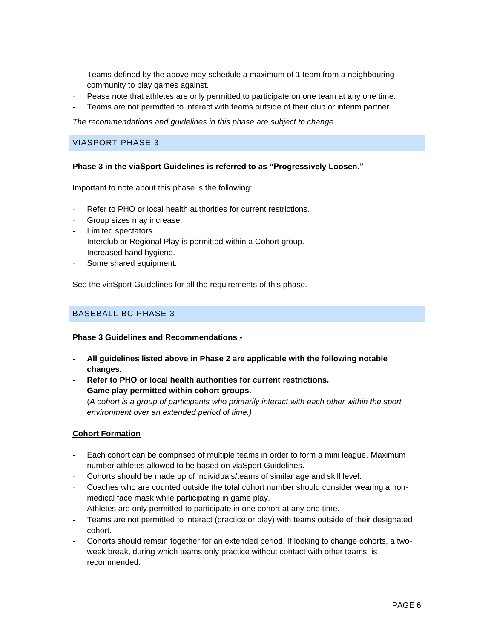- Teams defined by the above may schedule a maximum of 1 team from a neighbouring community to play games against.
- Pease note that athletes are only permitted to participate on one team at any one time.
- Teams are not permitted to interact with teams outside of their club or interim partner.

*The recommendations and guidelines in this phase are subject to change.*

#### VIASPORT PHASE 3

#### **Phase 3 in the viaSport Guidelines is referred to as "Progressively Loosen."**

Important to note about this phase is the following:

- Refer to PHO or local health authorities for current restrictions.
- Group sizes may increase.
- Limited spectators.
- Interclub or Regional Play is permitted within a Cohort group.
- Increased hand hygiene.
- Some shared equipment.

See the viaSport Guidelines for all the requirements of this phase.

#### BASEBALL BC PHASE 3

#### **Phase 3 Guidelines and Recommendations -**

- **All guidelines listed above in Phase 2 are applicable with the following notable changes.**
- **Refer to PHO or local health authorities for current restrictions.**
- **Game play permitted within cohort groups.**

(*A cohort is a group of participants who primarily interact with each other within the sport environment over an extended period of time.)*

#### **Cohort Formation**

- Each cohort can be comprised of multiple teams in order to form a mini league. Maximum number athletes allowed to be based on viaSport Guidelines.
- Cohorts should be made up of individuals/teams of similar age and skill level.
- Coaches who are counted outside the total cohort number should consider wearing a nonmedical face mask while participating in game play.
- Athletes are only permitted to participate in one cohort at any one time.
- Teams are not permitted to interact (practice or play) with teams outside of their designated cohort.
- Cohorts should remain together for an extended period. If looking to change cohorts, a twoweek break, during which teams only practice without contact with other teams, is recommended.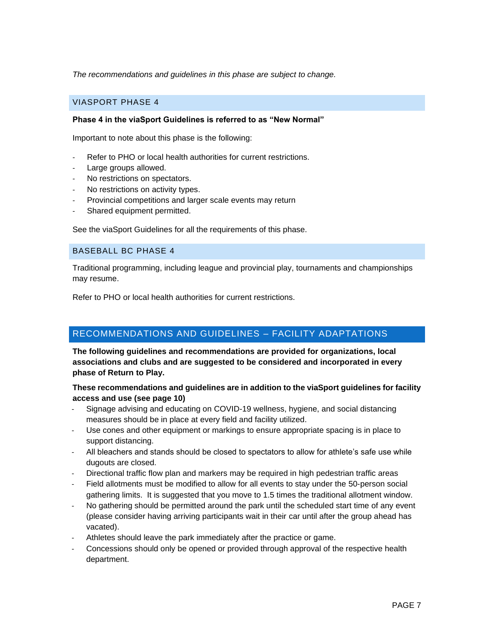*The recommendations and guidelines in this phase are subject to change.* 

## VIASPORT PHASE 4

#### **Phase 4 in the viaSport Guidelines is referred to as "New Normal"**

Important to note about this phase is the following:

- Refer to PHO or local health authorities for current restrictions.
- Large groups allowed.
- No restrictions on spectators.
- No restrictions on activity types.
- Provincial competitions and larger scale events may return
- Shared equipment permitted.

See the viaSport Guidelines for all the requirements of this phase.

#### BASEBALL BC PHASE 4

Traditional programming, including league and provincial play, tournaments and championships may resume.

Refer to PHO or local health authorities for current restrictions.

## RECOMMENDATIONS AND GUIDELINES – FACILITY ADAPTATIONS

**The following guidelines and recommendations are provided for organizations, local associations and clubs and are suggested to be considered and incorporated in every phase of Return to Play.**

#### **These recommendations and guidelines are in addition to the viaSport guidelines for facility access and use (see page 10)**

- Signage advising and educating on COVID-19 wellness, hygiene, and social distancing measures should be in place at every field and facility utilized.
- Use cones and other equipment or markings to ensure appropriate spacing is in place to support distancing.
- All bleachers and stands should be closed to spectators to allow for athlete's safe use while dugouts are closed.
- Directional traffic flow plan and markers may be required in high pedestrian traffic areas
- Field allotments must be modified to allow for all events to stay under the 50-person social gathering limits. It is suggested that you move to 1.5 times the traditional allotment window.
- No gathering should be permitted around the park until the scheduled start time of any event (please consider having arriving participants wait in their car until after the group ahead has vacated).
- Athletes should leave the park immediately after the practice or game.
- Concessions should only be opened or provided through approval of the respective health department.